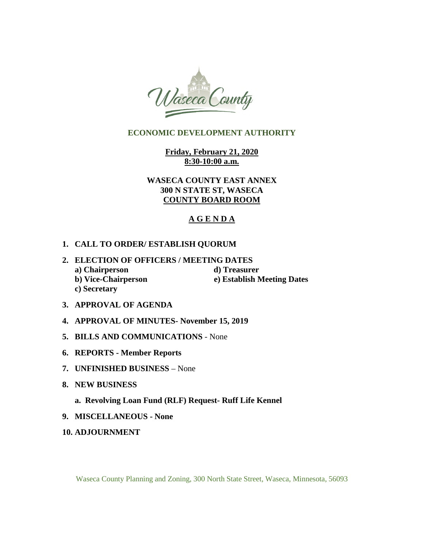

# **ECONOMIC DEVELOPMENT AUTHORITY**

**Friday, February 21, 2020 8:30-10:00 a.m.** 

**WASECA COUNTY EAST ANNEX 300 N STATE ST, WASECA COUNTY BOARD ROOM** 

# **A G E N D A**

# **1. CALL TO ORDER/ ESTABLISH QUORUM**

- **2. ELECTION OF OFFICERS / MEETING DATES a**) Chairperson **d**) Treasurer **b) Vice-Chairperson e) Establish Meeting Dates c) Secretary**
- **3. APPROVAL OF AGENDA**
- **4. APPROVAL OF MINUTES- November 15, 2019**
- **5. BILLS AND COMMUNICATIONS**  None
- **6. REPORTS Member Reports**
- **7. UNFINISHED BUSINESS**  None
- **8. NEW BUSINESS** 
	- **a. Revolving Loan Fund (RLF) Request- Ruff Life Kennel**
- **9. MISCELLANEOUS None**
- **10. ADJOURNMENT**

Waseca County Planning and Zoning, 300 North State Street, Waseca, Minnesota, 56093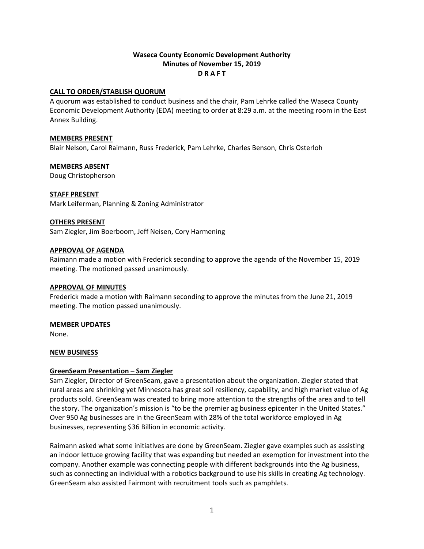# **Waseca County Economic Development Authority Minutes of November 15, 2019 D R A F T**

#### **CALL TO ORDER/STABLISH QUORUM**

A quorum was established to conduct business and the chair, Pam Lehrke called the Waseca County Economic Development Authority (EDA) meeting to order at 8:29 a.m. at the meeting room in the East Annex Building.

#### **MEMBERS PRESENT**

Blair Nelson, Carol Raimann, Russ Frederick, Pam Lehrke, Charles Benson, Chris Osterloh

#### **MEMBERS ABSENT**

Doug Christopherson

#### **STAFF PRESENT**

Mark Leiferman, Planning & Zoning Administrator

#### **OTHERS PRESENT**

Sam Ziegler, Jim Boerboom, Jeff Neisen, Cory Harmening

#### **APPROVAL OF AGENDA**

Raimann made a motion with Frederick seconding to approve the agenda of the November 15, 2019 meeting. The motioned passed unanimously.

#### **APPROVAL OF MINUTES**

Frederick made a motion with Raimann seconding to approve the minutes from the June 21, 2019 meeting. The motion passed unanimously.

#### **MEMBER UPDATES**

None.

# **NEW BUSINESS**

# **GreenSeam Presentation – Sam Ziegler**

Sam Ziegler, Director of GreenSeam, gave a presentation about the organization. Ziegler stated that rural areas are shrinking yet Minnesota has great soil resiliency, capability, and high market value of Ag products sold. GreenSeam was created to bring more attention to the strengths of the area and to tell the story. The organization's mission is "to be the premier ag business epicenter in the United States." Over 950 Ag businesses are in the GreenSeam with 28% of the total workforce employed in Ag businesses, representing \$36 Billion in economic activity.

Raimann asked what some initiatives are done by GreenSeam. Ziegler gave examples such as assisting an indoor lettuce growing facility that was expanding but needed an exemption for investment into the company. Another example was connecting people with different backgrounds into the Ag business, such as connecting an individual with a robotics background to use his skills in creating Ag technology. GreenSeam also assisted Fairmont with recruitment tools such as pamphlets.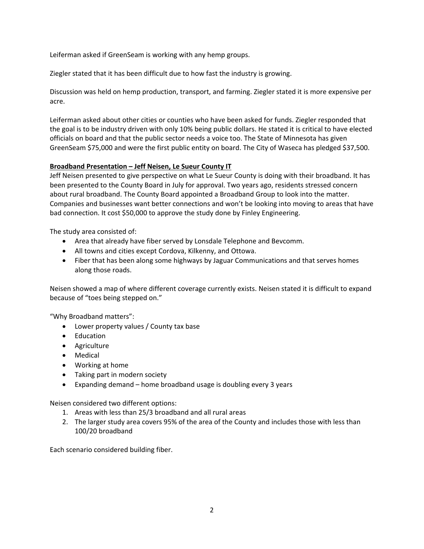Leiferman asked if GreenSeam is working with any hemp groups.

Ziegler stated that it has been difficult due to how fast the industry is growing.

Discussion was held on hemp production, transport, and farming. Ziegler stated it is more expensive per acre.

Leiferman asked about other cities or counties who have been asked for funds. Ziegler responded that the goal is to be industry driven with only 10% being public dollars. He stated it is critical to have elected officials on board and that the public sector needs a voice too. The State of Minnesota has given GreenSeam \$75,000 and were the first public entity on board. The City of Waseca has pledged \$37,500.

# **Broadband Presentation – Jeff Neisen, Le Sueur County IT**

Jeff Neisen presented to give perspective on what Le Sueur County is doing with their broadband. It has been presented to the County Board in July for approval. Two years ago, residents stressed concern about rural broadband. The County Board appointed a Broadband Group to look into the matter. Companies and businesses want better connections and won't be looking into moving to areas that have bad connection. It cost \$50,000 to approve the study done by Finley Engineering.

The study area consisted of:

- Area that already have fiber served by Lonsdale Telephone and Bevcomm.
- All towns and cities except Cordova, Kilkenny, and Ottowa.
- Fiber that has been along some highways by Jaguar Communications and that serves homes along those roads.

Neisen showed a map of where different coverage currently exists. Neisen stated it is difficult to expand because of "toes being stepped on."

"Why Broadband matters":

- Lower property values / County tax base
- Education
- Agriculture
- Medical
- Working at home
- Taking part in modern society
- Expanding demand home broadband usage is doubling every 3 years

Neisen considered two different options:

- 1. Areas with less than 25/3 broadband and all rural areas
- 2. The larger study area covers 95% of the area of the County and includes those with less than 100/20 broadband

Each scenario considered building fiber.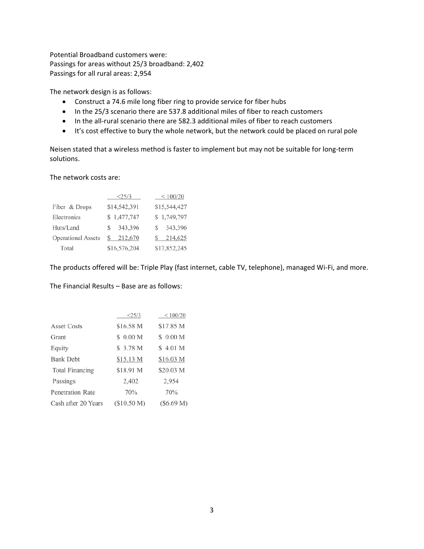Potential Broadband customers were: Passings for areas without 25/3 broadband: 2,402 Passings for all rural areas: 2,954

The network design is as follows:

- Construct a 74.6 mile long fiber ring to provide service for fiber hubs
- In the 25/3 scenario there are 537.8 additional miles of fiber to reach customers
- In the all-rural scenario there are 582.3 additional miles of fiber to reach customers
- It's cost effective to bury the whole network, but the network could be placed on rural pole

Neisen stated that a wireless method is faster to implement but may not be suitable for long‐term solutions.

The network costs are:

|                           | <25/3         | $\leq 100/20$ |
|---------------------------|---------------|---------------|
| Fiber & Drops             | \$14,542,391  | \$15,544,427  |
| Electronics               | \$1,477,747   | \$1,749,797   |
| Huts/Land                 | 343,396<br>S  | 343,396<br>S  |
| <b>Operational Assets</b> | 212,670<br>S. | \$214,625     |
| Total                     | \$16,576,204  | \$17,852,245  |

The products offered will be: Triple Play (fast internet, cable TV, telephone), managed Wi‐Fi, and more.

The Financial Results – Base are as follows:

|                         | <25/3               | < 100/20   |
|-------------------------|---------------------|------------|
| Asset Costs             | \$16.58 M           | \$17.85 M  |
| Grant                   | \$0.00 M            | \$0.00 M   |
| Equity                  | \$3.78 <sub>M</sub> | \$4.01 M   |
| <b>Bank Debt</b>        | \$15.13 M           | \$16.03 M  |
| <b>Total Financing</b>  | \$18.91 M           | \$20.03 M  |
| Passings                | 2,402               | 2,954      |
| <b>Penetration Rate</b> | 70%                 | 70%        |
| Cash after 20 Years     | (S10.50 M)          | (\$6.69 M) |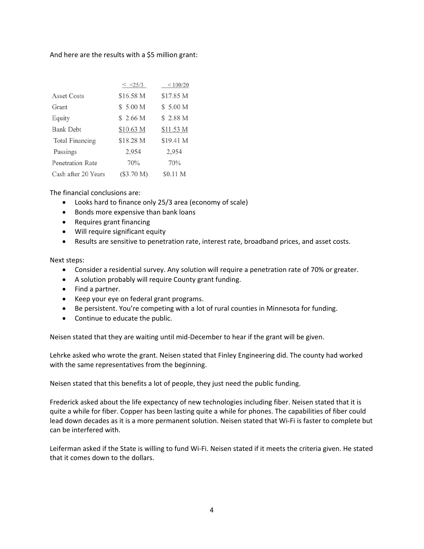# And here are the results with a \$5 million grant:

|                     | $<$ $<$ 25/3 | < 100/20  |
|---------------------|--------------|-----------|
| Asset Costs         | \$16.58 M    | \$17.85 M |
| Grant               | \$5.00 M     | \$5.00 M  |
| Equity              | \$2.66 M     | \$2.88 M  |
| <b>Bank Debt</b>    | \$10.63 M    | \$11.53 M |
| Total Financing     | \$18.28 M    | \$19.41 M |
| Passings            | 2,954        | 2,954     |
| Penetration Rate    | 70%          | 70%       |
| Cash after 20 Years | (\$3.70 M)   | \$0.11 M  |

The financial conclusions are:

- Looks hard to finance only 25/3 area (economy of scale)
- **•** Bonds more expensive than bank loans
- Requires grant financing
- Will require significant equity
- Results are sensitive to penetration rate, interest rate, broadband prices, and asset costs.

#### Next steps:

- Consider a residential survey. Any solution will require a penetration rate of 70% or greater.
- A solution probably will require County grant funding.
- Find a partner.
- Keep your eye on federal grant programs.
- Be persistent. You're competing with a lot of rural counties in Minnesota for funding.
- Continue to educate the public.

Neisen stated that they are waiting until mid‐December to hear if the grant will be given.

Lehrke asked who wrote the grant. Neisen stated that Finley Engineering did. The county had worked with the same representatives from the beginning.

Neisen stated that this benefits a lot of people, they just need the public funding.

Frederick asked about the life expectancy of new technologies including fiber. Neisen stated that it is quite a while for fiber. Copper has been lasting quite a while for phones. The capabilities of fiber could lead down decades as it is a more permanent solution. Neisen stated that Wi‐Fi is faster to complete but can be interfered with.

Leiferman asked if the State is willing to fund Wi‐Fi. Neisen stated if it meets the criteria given. He stated that it comes down to the dollars.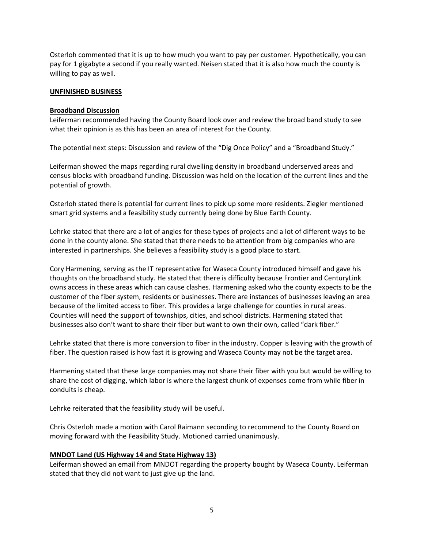Osterloh commented that it is up to how much you want to pay per customer. Hypothetically, you can pay for 1 gigabyte a second if you really wanted. Neisen stated that it is also how much the county is willing to pay as well.

#### **UNFINISHED BUSINESS**

#### **Broadband Discussion**

Leiferman recommended having the County Board look over and review the broad band study to see what their opinion is as this has been an area of interest for the County.

The potential next steps: Discussion and review of the "Dig Once Policy" and a "Broadband Study."

Leiferman showed the maps regarding rural dwelling density in broadband underserved areas and census blocks with broadband funding. Discussion was held on the location of the current lines and the potential of growth.

Osterloh stated there is potential for current lines to pick up some more residents. Ziegler mentioned smart grid systems and a feasibility study currently being done by Blue Earth County.

Lehrke stated that there are a lot of angles for these types of projects and a lot of different ways to be done in the county alone. She stated that there needs to be attention from big companies who are interested in partnerships. She believes a feasibility study is a good place to start.

Cory Harmening, serving as the IT representative for Waseca County introduced himself and gave his thoughts on the broadband study. He stated that there is difficulty because Frontier and CenturyLink owns access in these areas which can cause clashes. Harmening asked who the county expects to be the customer of the fiber system, residents or businesses. There are instances of businesses leaving an area because of the limited access to fiber. This provides a large challenge for counties in rural areas. Counties will need the support of townships, cities, and school districts. Harmening stated that businesses also don't want to share their fiber but want to own their own, called "dark fiber."

Lehrke stated that there is more conversion to fiber in the industry. Copper is leaving with the growth of fiber. The question raised is how fast it is growing and Waseca County may not be the target area.

Harmening stated that these large companies may not share their fiber with you but would be willing to share the cost of digging, which labor is where the largest chunk of expenses come from while fiber in conduits is cheap.

Lehrke reiterated that the feasibility study will be useful.

Chris Osterloh made a motion with Carol Raimann seconding to recommend to the County Board on moving forward with the Feasibility Study. Motioned carried unanimously.

# **MNDOT Land (US Highway 14 and State Highway 13)**

Leiferman showed an email from MNDOT regarding the property bought by Waseca County. Leiferman stated that they did not want to just give up the land.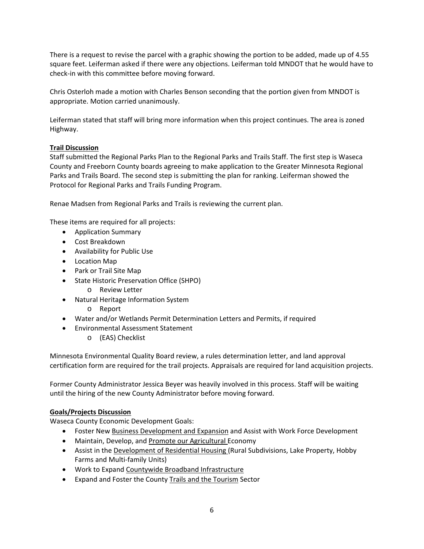There is a request to revise the parcel with a graphic showing the portion to be added, made up of 4.55 square feet. Leiferman asked if there were any objections. Leiferman told MNDOT that he would have to check‐in with this committee before moving forward.

Chris Osterloh made a motion with Charles Benson seconding that the portion given from MNDOT is appropriate. Motion carried unanimously.

Leiferman stated that staff will bring more information when this project continues. The area is zoned Highway.

# **Trail Discussion**

Staff submitted the Regional Parks Plan to the Regional Parks and Trails Staff. The first step is Waseca County and Freeborn County boards agreeing to make application to the Greater Minnesota Regional Parks and Trails Board. The second step is submitting the plan for ranking. Leiferman showed the Protocol for Regional Parks and Trails Funding Program.

Renae Madsen from Regional Parks and Trails is reviewing the current plan.

These items are required for all projects:

- Application Summary
- Cost Breakdown
- Availability for Public Use
- Location Map
- Park or Trail Site Map
- State Historic Preservation Office (SHPO)
	- o Review Letter
- Natural Heritage Information System
	- o Report
- Water and/or Wetlands Permit Determination Letters and Permits, if required
- Environmental Assessment Statement
	- o (EAS) Checklist

Minnesota Environmental Quality Board review, a rules determination letter, and land approval certification form are required for the trail projects. Appraisals are required for land acquisition projects.

Former County Administrator Jessica Beyer was heavily involved in this process. Staff will be waiting until the hiring of the new County Administrator before moving forward.

# **Goals/Projects Discussion**

Waseca County Economic Development Goals:

- Foster New Business Development and Expansion and Assist with Work Force Development
- Maintain, Develop, and Promote our Agricultural Economy
- Assist in the Development of Residential Housing (Rural Subdivisions, Lake Property, Hobby Farms and Multi‐family Units)
- Work to Expand Countywide Broadband Infrastructure
- **•** Expand and Foster the County Trails and the Tourism Sector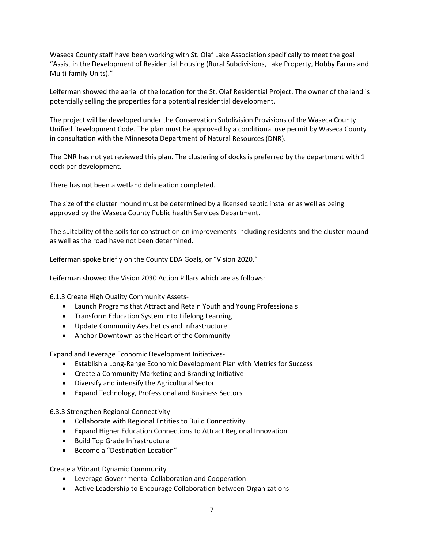Waseca County staff have been working with St. Olaf Lake Association specifically to meet the goal "Assist in the Development of Residential Housing (Rural Subdivisions, Lake Property, Hobby Farms and Multi‐family Units)."

Leiferman showed the aerial of the location for the St. Olaf Residential Project. The owner of the land is potentially selling the properties for a potential residential development.

The project will be developed under the Conservation Subdivision Provisions of the Waseca County Unified Development Code. The plan must be approved by a conditional use permit by Waseca County in consultation with the Minnesota Department of Natural Resources (DNR).

The DNR has not yet reviewed this plan. The clustering of docks is preferred by the department with 1 dock per development.

There has not been a wetland delineation completed.

The size of the cluster mound must be determined by a licensed septic installer as well as being approved by the Waseca County Public health Services Department.

The suitability of the soils for construction on improvements including residents and the cluster mound as well as the road have not been determined.

Leiferman spoke briefly on the County EDA Goals, or "Vision 2020."

Leiferman showed the Vision 2030 Action Pillars which are as follows:

6.1.3 Create High Quality Community Assets‐

- Launch Programs that Attract and Retain Youth and Young Professionals
- **•** Transform Education System into Lifelong Learning
- Update Community Aesthetics and Infrastructure
- Anchor Downtown as the Heart of the Community

Expand and Leverage Economic Development Initiatives‐

- Establish a Long‐Range Economic Development Plan with Metrics for Success
- Create a Community Marketing and Branding Initiative
- Diversify and intensify the Agricultural Sector
- Expand Technology, Professional and Business Sectors

# 6.3.3 Strengthen Regional Connectivity

- Collaborate with Regional Entities to Build Connectivity
- Expand Higher Education Connections to Attract Regional Innovation
- Build Top Grade Infrastructure
- Become a "Destination Location"

Create a Vibrant Dynamic Community

- Leverage Governmental Collaboration and Cooperation
- Active Leadership to Encourage Collaboration between Organizations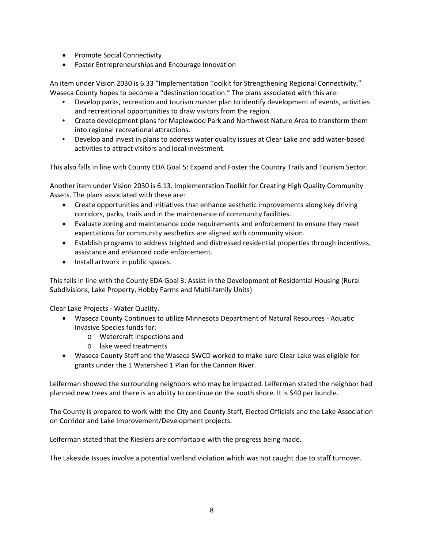- Promote Social Connectivity
- Foster Entrepreneurships and Encourage Innovation

An item under Vision 2030 is 6.33 "Implementation Toolkit for Strengthening Regional Connectivity." Waseca County hopes to become a "destination location." The plans associated with this are:

- Develop parks, recreation and tourism master plan to identify development of events, activities and recreational opportunities to draw visitors from the region.
- Create development plans for Maplewood Park and Northwest Nature Area to transform them into regional recreational attractions.
- Develop and invest in plans to address water quality issues at Clear Lake and add water-based activities to attract visitors and local investment.

This also falls in line with County EDA Goal 5: Expand and Foster the Country Trails and Tourism Sector.

Another item under Vision 2030 is 6.13. Implementation Toolkit for Creating High Quality Community Assets. The plans associated with these are:

- Create opportunities and initiatives that enhance aesthetic improvements along key driving corridors, parks, trails and in the maintenance of community facilities.
- Evaluate zoning and maintenance code requirements and enforcement to ensure they meet expectations for community aesthetics are aligned with community vision.
- Establish programs to address blighted and distressed residential properties through incentives, assistance and enhanced code enforcement.
- Install artwork in public spaces.

This falls in line with the County EDA Goal 3: Assist in the Development of Residential Housing (Rural Subdivisions, Lake Property, Hobby Farms and Multi‐family Units)

Clear Lake Projects ‐ Water Quality.

- Waseca County Continues to utilize Minnesota Department of Natural Resources Aquatic Invasive Species funds for:
	- o Watercraft inspections and
	- o lake weed treatments
- Waseca County Staff and the Waseca SWCD worked to make sure Clear Lake was eligible for grants under the 1 Watershed 1 Plan for the Cannon River.

Leiferman showed the surrounding neighbors who may be impacted. Leiferman stated the neighbor had planned new trees and there is an ability to continue on the south shore. It is \$40 per bundle.

The County is prepared to work with the City and County Staff, Elected Officials and the Lake Association on Corridor and Lake Improvement/Development projects.

Leiferman stated that the Kieslers are comfortable with the progress being made.

The Lakeside Issues involve a potential wetland violation which was not caught due to staff turnover.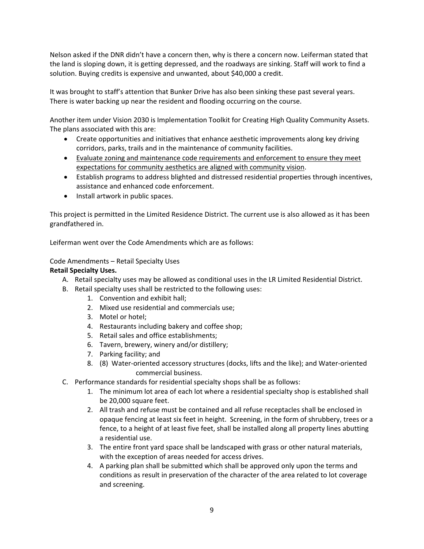Nelson asked if the DNR didn't have a concern then, why is there a concern now. Leiferman stated that the land is sloping down, it is getting depressed, and the roadways are sinking. Staff will work to find a solution. Buying credits is expensive and unwanted, about \$40,000 a credit.

It was brought to staff's attention that Bunker Drive has also been sinking these past several years. There is water backing up near the resident and flooding occurring on the course.

Another item under Vision 2030 is Implementation Toolkit for Creating High Quality Community Assets. The plans associated with this are:

- Create opportunities and initiatives that enhance aesthetic improvements along key driving corridors, parks, trails and in the maintenance of community facilities.
- Evaluate zoning and maintenance code requirements and enforcement to ensure they meet expectations for community aesthetics are aligned with community vision.
- Establish programs to address blighted and distressed residential properties through incentives, assistance and enhanced code enforcement.
- Install artwork in public spaces.

This project is permitted in the Limited Residence District. The current use is also allowed as it has been grandfathered in.

Leiferman went over the Code Amendments which are as follows:

Code Amendments – Retail Specialty Uses

# **Retail Specialty Uses.**

- A. Retail specialty uses may be allowed as conditional uses in the LR Limited Residential District.
- B. Retail specialty uses shall be restricted to the following uses:
	- 1. Convention and exhibit hall;
	- 2. Mixed use residential and commercials use;
	- 3. Motel or hotel;
	- 4. Restaurants including bakery and coffee shop;
	- 5. Retail sales and office establishments;
	- 6. Tavern, brewery, winery and/or distillery;
	- 7. Parking facility; and
	- 8. (8) Water-oriented accessory structures (docks, lifts and the like); and Water-oriented commercial business.
- C. Performance standards for residential specialty shops shall be as follows:
	- 1. The minimum lot area of each lot where a residential specialty shop is established shall be 20,000 square feet.
	- 2. All trash and refuse must be contained and all refuse receptacles shall be enclosed in opaque fencing at least six feet in height. Screening, in the form of shrubbery, trees or a fence, to a height of at least five feet, shall be installed along all property lines abutting a residential use.
	- 3. The entire front yard space shall be landscaped with grass or other natural materials, with the exception of areas needed for access drives.
	- 4. A parking plan shall be submitted which shall be approved only upon the terms and conditions as result in preservation of the character of the area related to lot coverage and screening.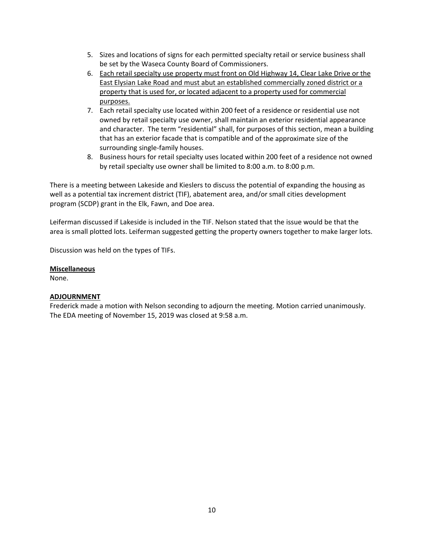- 5. Sizes and locations of signs for each permitted specialty retail or service business shall be set by the Waseca County Board of Commissioners.
- 6. Each retail specialty use property must front on Old Highway 14, Clear Lake Drive or the East Elysian Lake Road and must abut an established commercially zoned district or a property that is used for, or located adjacent to a property used for commercial purposes.
- 7. Each retail specialty use located within 200 feet of a residence or residential use not owned by retail specialty use owner, shall maintain an exterior residential appearance and character. The term "residential" shall, for purposes of this section, mean a building that has an exterior facade that is compatible and of the approximate size of the surrounding single‐family houses.
- 8. Business hours for retail specialty uses located within 200 feet of a residence not owned by retail specialty use owner shall be limited to 8:00 a.m. to 8:00 p.m.

There is a meeting between Lakeside and Kieslers to discuss the potential of expanding the housing as well as a potential tax increment district (TIF), abatement area, and/or small cities development program (SCDP) grant in the Elk, Fawn, and Doe area.

Leiferman discussed if Lakeside is included in the TIF. Nelson stated that the issue would be that the area is small plotted lots. Leiferman suggested getting the property owners together to make larger lots.

Discussion was held on the types of TIFs.

# **Miscellaneous**

None.

# **ADJOURNMENT**

Frederick made a motion with Nelson seconding to adjourn the meeting. Motion carried unanimously. The EDA meeting of November 15, 2019 was closed at 9:58 a.m.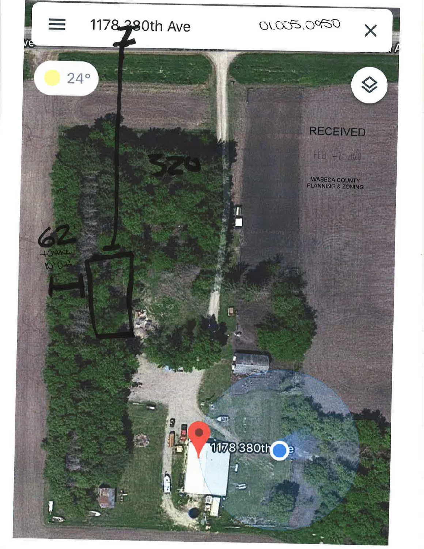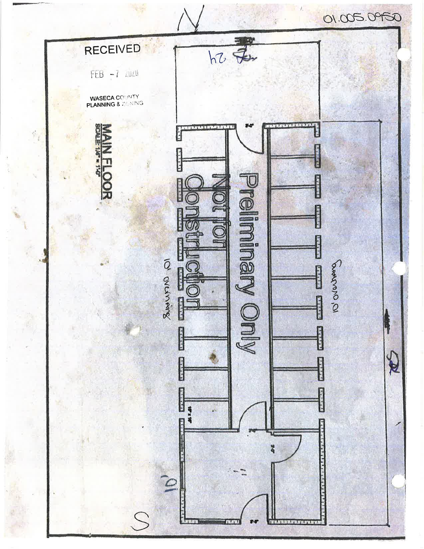